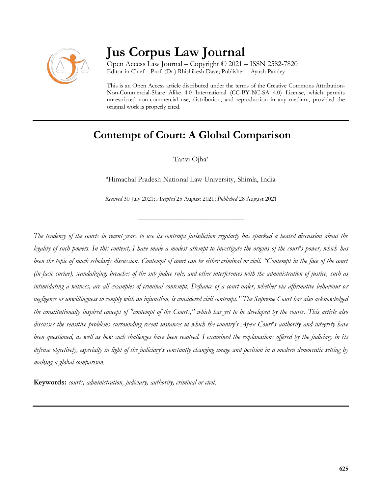

# **Jus Corpus Law Journal**

Open Access Law Journal – Copyright © 2021 – ISSN 2582-7820 Editor-in-Chief – Prof. (Dr.) Rhishikesh Dave; Publisher – Ayush Pandey

This is an Open Access article distributed under the terms of the Creative Commons Attribution-Non-Commercial-Share Alike 4.0 International (CC-BY-NC-SA 4.0) License, which permits unrestricted non-commercial use, distribution, and reproduction in any medium, provided the original work is properly cited.

# **Contempt of Court: A Global Comparison**

Tanvi Ojha<sup>a</sup>

<sup>a</sup>Himachal Pradesh National Law University, Shimla, India

*Received* 30 July 2021; *Accepted* 25 August 2021; *Published* 28 August 2021

\_\_\_\_\_\_\_\_\_\_\_\_\_\_\_\_\_\_\_\_\_\_\_\_\_\_\_\_\_\_\_\_\_\_

*The tendency of the courts in recent years to use its contempt jurisdiction regularly has sparked a heated discussion about the legality of such powers. In this context, I have made a modest attempt to investigate the origins of the court's power, which has*  been the topic of much scholarly discussion. Contempt of court can be either criminal or civil. "Contempt in the face of the court *(in facie curiae), scandalizing, breaches of the sub judice rule, and other interferences with the administration of justice, such as intimidating a witness, are all examples of criminal contempt. Defiance of a court order, whether via affirmative behaviour or negligence or unwillingness to comply with an injunction, is considered civil contempt." The Supreme Court has also acknowledged the constitutionally inspired concept of "contempt of the Courts," which has yet to be developed by the courts. This article also discusses the sensitive problems surrounding recent instances in which the country's Apex Court's authority and integrity have been questioned, as well as how such challenges have been resolved. I examined the explanations offered by the judiciary in its defense objectively, especially in light of the judiciary's constantly changing image and position in a modern democratic setting by making a global comparison.*

**Keywords:** *courts, administration, judiciary, authority, criminal or civil.*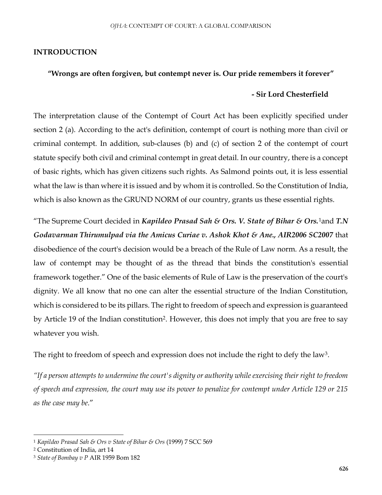#### **INTRODUCTION**

#### **"Wrongs are often forgiven, but contempt never is. Our pride remembers it forever"**

#### **- Sir Lord Chesterfield**

The interpretation clause of the Contempt of Court Act has been explicitly specified under section 2 (a). According to the act's definition, contempt of court is nothing more than civil or criminal contempt. In addition, sub-clauses (b) and (c) of section 2 of the contempt of court statute specify both civil and criminal contempt in great detail. In our country, there is a concept of basic rights, which has given citizens such rights. As Salmond points out, it is less essential what the law is than where it is issued and by whom it is controlled. So the Constitution of India, which is also known as the GRUND NORM of our country, grants us these essential rights.

"The Supreme Court decided in *Kapildeo Prasad Sah & Ors. V. State of Bihar & Ors.*1and *T.N Godavarman Thirumulpad via the Amicus Curiae v. Ashok Khot & Ane., AIR2006 SC2007* that disobedience of the court's decision would be a breach of the Rule of Law norm. As a result, the law of contempt may be thought of as the thread that binds the constitution's essential framework together." One of the basic elements of Rule of Law is the preservation of the court's dignity. We all know that no one can alter the essential structure of the Indian Constitution, which is considered to be its pillars. The right to freedom of speech and expression is guaranteed by Article 19 of the Indian constitution<sup>2</sup> . However, this does not imply that you are free to say whatever you wish.

The right to freedom of speech and expression does not include the right to defy the law<sup>3</sup>.

*"If a person attempts to undermine the court's dignity or authority while exercising their right to freedom of speech and expression, the court may use its power to penalize for contempt under Article 129 or 215 as the case may be*."

 $\overline{a}$ 

<sup>1</sup> *Kapildeo Prasad Sah & Ors v State of Bihar & Ors* (1999) 7 SCC 569

<sup>2</sup> Constitution of India, art 14

<sup>3</sup> *State of Bombay v P* AIR 1959 Bom 182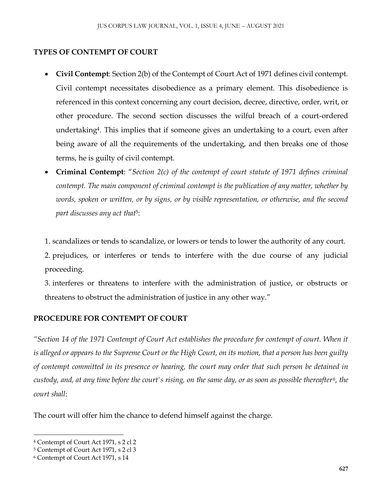# **TYPES OF CONTEMPT OF COURT**

- **Civil Contempt**: Section 2(b) of the Contempt of Court Act of 1971 defines civil contempt. Civil contempt necessitates disobedience as a primary element. This disobedience is referenced in this context concerning any court decision, decree, directive, order, writ, or other procedure. The second section discusses the wilful breach of a court-ordered undertaking<sup>4</sup>. This implies that if someone gives an undertaking to a court, even after being aware of all the requirements of the undertaking, and then breaks one of those terms, he is guilty of civil contempt.
- **Criminal Contempt**: "*Section 2(c) of the contempt of court statute of 1971 defines criminal contempt. The main component of criminal contempt is the publication of any matter, whether by words, spoken or written, or by signs, or by visible representation, or otherwise, and the second part discusses any act that*<sup>5</sup> :
- 1. scandalizes or tends to scandalize, or lowers or tends to lower the authority of any court.
- 2. prejudices, or interferes or tends to interfere with the due course of any judicial proceeding.
- 3. interferes or threatens to interfere with the administration of justice, or obstructs or threatens to obstruct the administration of justice in any other way."

# **PROCEDURE FOR CONTEMPT OF COURT**

*"Section 14 of the 1971 Contempt of Court Act establishes the procedure for contempt of court. When it is alleged or appears to the Supreme Court or the High Court, on its motion, that a person has been guilty of contempt committed in its presence or hearing, the court may order that such person be detained in custody, and, at any time before the court's rising, on the same day, or as soon as possible thereafter<sup>6</sup> , the court shall*:

The court will offer him the chance to defend himself against the charge.

 $\overline{a}$ 

<sup>4</sup> Contempt of Court Act 1971, s 2 cl 2

<sup>5</sup> Contempt of Court Act 1971, s 2 cl 3

<sup>6</sup> Contempt of Court Act 1971, s 14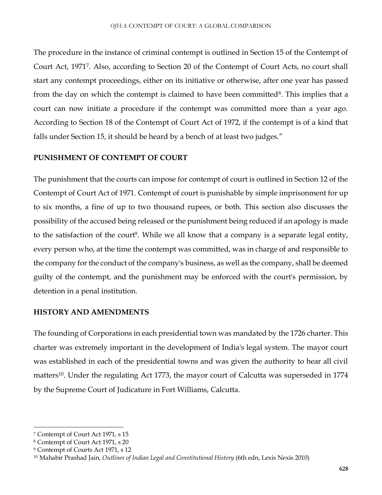The procedure in the instance of criminal contempt is outlined in Section 15 of the Contempt of Court Act, 1971<sup>7</sup> . Also, according to Section 20 of the Contempt of Court Acts, no court shall start any contempt proceedings, either on its initiative or otherwise, after one year has passed from the day on which the contempt is claimed to have been committed<sup>8</sup>. This implies that a court can now initiate a procedure if the contempt was committed more than a year ago. According to Section 18 of the Contempt of Court Act of 1972, if the contempt is of a kind that falls under Section 15, it should be heard by a bench of at least two judges."

#### **PUNISHMENT OF CONTEMPT OF COURT**

The punishment that the courts can impose for contempt of court is outlined in Section 12 of the Contempt of Court Act of 1971. Contempt of court is punishable by simple imprisonment for up to six months, a fine of up to two thousand rupees, or both. This section also discusses the possibility of the accused being released or the punishment being reduced if an apology is made to the satisfaction of the court<sup>9</sup>. While we all know that a company is a separate legal entity, every person who, at the time the contempt was committed, was in charge of and responsible to the company for the conduct of the company's business, as well as the company, shall be deemed guilty of the contempt, and the punishment may be enforced with the court's permission, by detention in a penal institution.

#### **HISTORY AND AMENDMENTS**

The founding of Corporations in each presidential town was mandated by the 1726 charter. This charter was extremely important in the development of India's legal system. The mayor court was established in each of the presidential towns and was given the authority to hear all civil matters<sup>10</sup>. Under the regulating Act 1773, the mayor court of Calcutta was superseded in 1774 by the Supreme Court of Judicature in Fort Williams, Calcutta.

 $\ddot{\phantom{a}}$ 

<sup>7</sup> Contempt of Court Act 1971, s 15

<sup>8</sup> Contempt of Court Act 1971, s 20

<sup>9</sup> Contempt of Courts Act 1971, s 12

<sup>10</sup> Mahabir Prashad Jain, *Outlines of Indian Legal and Constitutional History* (6th edn, Lexis Nexis 2010)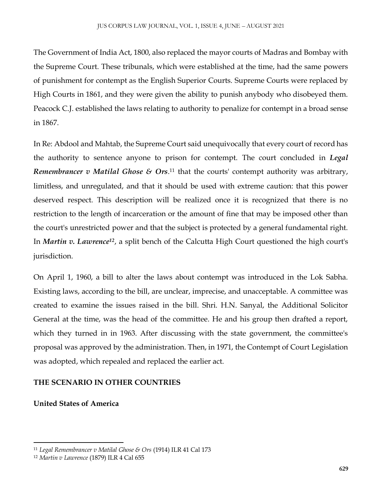The Government of India Act, 1800, also replaced the mayor courts of Madras and Bombay with the Supreme Court. These tribunals, which were established at the time, had the same powers of punishment for contempt as the English Superior Courts. Supreme Courts were replaced by High Courts in 1861, and they were given the ability to punish anybody who disobeyed them. Peacock C.J. established the laws relating to authority to penalize for contempt in a broad sense in 1867.

In Re: Abdool and Mahtab, the Supreme Court said unequivocally that every court of record has the authority to sentence anyone to prison for contempt. The court concluded in *Legal Remembrancer v Matilal Ghose & Ors*. <sup>11</sup> that the courts' contempt authority was arbitrary, limitless, and unregulated, and that it should be used with extreme caution: that this power deserved respect. This description will be realized once it is recognized that there is no restriction to the length of incarceration or the amount of fine that may be imposed other than the court's unrestricted power and that the subject is protected by a general fundamental right. In *Martin v. Lawrence<sup>12</sup>*, a split bench of the Calcutta High Court questioned the high court's jurisdiction.

On April 1, 1960, a bill to alter the laws about contempt was introduced in the Lok Sabha. Existing laws, according to the bill, are unclear, imprecise, and unacceptable. A committee was created to examine the issues raised in the bill. Shri. H.N. Sanyal, the Additional Solicitor General at the time, was the head of the committee. He and his group then drafted a report, which they turned in in 1963. After discussing with the state government, the committee's proposal was approved by the administration. Then, in 1971, the Contempt of Court Legislation was adopted, which repealed and replaced the earlier act.

# **THE SCENARIO IN OTHER COUNTRIES**

## **United States of America**

 $\ddot{\phantom{a}}$ 

<sup>11</sup> *Legal Remembrancer v Matilal Ghose & Ors* (1914) ILR 41 Cal 173

<sup>12</sup> *Martin v Lawrence* (1879) ILR 4 Cal 655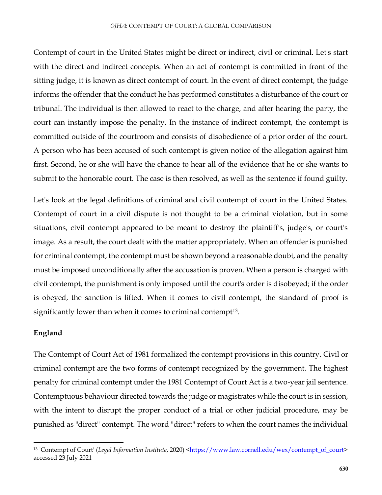Contempt of court in the United States might be direct or indirect, civil or criminal. Let's start with the direct and indirect concepts. When an act of contempt is committed in front of the sitting judge, it is known as direct contempt of court. In the event of direct contempt, the judge informs the offender that the conduct he has performed constitutes a disturbance of the court or tribunal. The individual is then allowed to react to the charge, and after hearing the party, the court can instantly impose the penalty. In the instance of indirect contempt, the contempt is committed outside of the courtroom and consists of disobedience of a prior order of the court. A person who has been accused of such contempt is given notice of the allegation against him first. Second, he or she will have the chance to hear all of the evidence that he or she wants to submit to the honorable court. The case is then resolved, as well as the sentence if found guilty.

Let's look at the legal definitions of criminal and civil contempt of court in the United States. Contempt of court in a civil dispute is not thought to be a criminal violation, but in some situations, civil contempt appeared to be meant to destroy the plaintiff's, judge's, or court's image. As a result, the court dealt with the matter appropriately. When an offender is punished for criminal contempt, the contempt must be shown beyond a reasonable doubt, and the penalty must be imposed unconditionally after the accusation is proven. When a person is charged with civil contempt, the punishment is only imposed until the court's order is disobeyed; if the order is obeyed, the sanction is lifted. When it comes to civil contempt, the standard of proof is significantly lower than when it comes to criminal contempt<sup>13</sup>.

#### **England**

 $\ddot{\phantom{a}}$ 

The Contempt of Court Act of 1981 formalized the contempt provisions in this country. Civil or criminal contempt are the two forms of contempt recognized by the government. The highest penalty for criminal contempt under the 1981 Contempt of Court Act is a two-year jail sentence. Contemptuous behaviour directed towards the judge or magistrates while the court is in session, with the intent to disrupt the proper conduct of a trial or other judicial procedure, may be punished as "direct" contempt. The word "direct" refers to when the court names the individual

<sup>&</sup>lt;sup>13</sup> 'Contempt of Court' (*Legal Information Institute*, 2020) [<https://www.law.cornell.edu/wex/contempt\\_of\\_court>](https://www.law.cornell.edu/wex/contempt_of_court) accessed 23 July 2021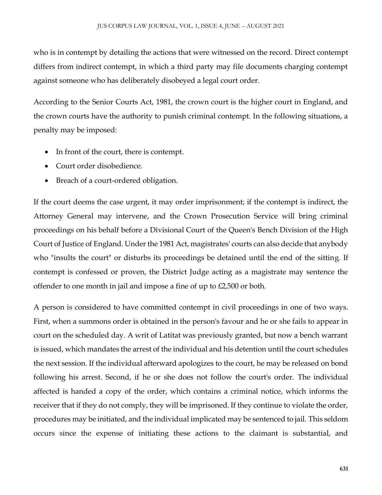who is in contempt by detailing the actions that were witnessed on the record. Direct contempt differs from indirect contempt, in which a third party may file documents charging contempt against someone who has deliberately disobeyed a legal court order.

According to the Senior Courts Act, 1981, the crown court is the higher court in England, and the crown courts have the authority to punish criminal contempt. In the following situations, a penalty may be imposed:

- In front of the court, there is contempt.
- Court order disobedience.
- Breach of a court-ordered obligation.

If the court deems the case urgent, it may order imprisonment; if the contempt is indirect, the Attorney General may intervene, and the Crown Prosecution Service will bring criminal proceedings on his behalf before a Divisional Court of the Queen's Bench Division of the High Court of Justice of England. Under the 1981 Act, magistrates' courts can also decide that anybody who "insults the court" or disturbs its proceedings be detained until the end of the sitting. If contempt is confessed or proven, the District Judge acting as a magistrate may sentence the offender to one month in jail and impose a fine of up to £2,500 or both.

A person is considered to have committed contempt in civil proceedings in one of two ways. First, when a summons order is obtained in the person's favour and he or she fails to appear in court on the scheduled day. A writ of Latitat was previously granted, but now a bench warrant is issued, which mandates the arrest of the individual and his detention until the court schedules the next session. If the individual afterward apologizes to the court, he may be released on bond following his arrest. Second, if he or she does not follow the court's order. The individual affected is handed a copy of the order, which contains a criminal notice, which informs the receiver that if they do not comply, they will be imprisoned. If they continue to violate the order, procedures may be initiated, and the individual implicated may be sentenced to jail. This seldom occurs since the expense of initiating these actions to the claimant is substantial, and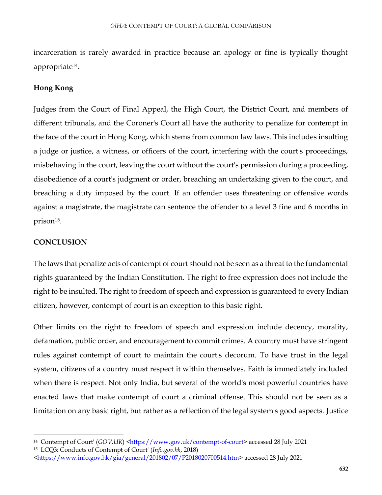incarceration is rarely awarded in practice because an apology or fine is typically thought appropriate<sup>14</sup> .

## **Hong Kong**

Judges from the Court of Final Appeal, the High Court, the District Court, and members of different tribunals, and the Coroner's Court all have the authority to penalize for contempt in the face of the court in Hong Kong, which stems from common law laws. This includes insulting a judge or justice, a witness, or officers of the court, interfering with the court's proceedings, misbehaving in the court, leaving the court without the court's permission during a proceeding, disobedience of a court's judgment or order, breaching an undertaking given to the court, and breaching a duty imposed by the court. If an offender uses threatening or offensive words against a magistrate, the magistrate can sentence the offender to a level 3 fine and 6 months in prison<sup>15</sup>.

# **CONCLUSION**

 $\overline{a}$ 

The laws that penalize acts of contempt of court should not be seen as a threat to the fundamental rights guaranteed by the Indian Constitution. The right to free expression does not include the right to be insulted. The right to freedom of speech and expression is guaranteed to every Indian citizen, however, contempt of court is an exception to this basic right.

Other limits on the right to freedom of speech and expression include decency, morality, defamation, public order, and encouragement to commit crimes. A country must have stringent rules against contempt of court to maintain the court's decorum. To have trust in the legal system, citizens of a country must respect it within themselves. Faith is immediately included when there is respect. Not only India, but several of the world's most powerful countries have enacted laws that make contempt of court a criminal offense. This should not be seen as a limitation on any basic right, but rather as a reflection of the legal system's good aspects. Justice

<sup>14</sup> 'Contempt of Court' (*GOV.UK*) [<https://www.gov.uk/contempt-of-court>](https://www.gov.uk/contempt-of-court) accessed 28 July 2021

<sup>15</sup> 'LCQ3: Conducts of Contempt of Court' (*Info.gov.hk*, 2018)

[<sup>&</sup>lt;https://www.info.gov.hk/gia/general/201802/07/P2018020700514.htm>](https://www.info.gov.hk/gia/general/201802/07/P2018020700514.htm) accessed 28 July 2021